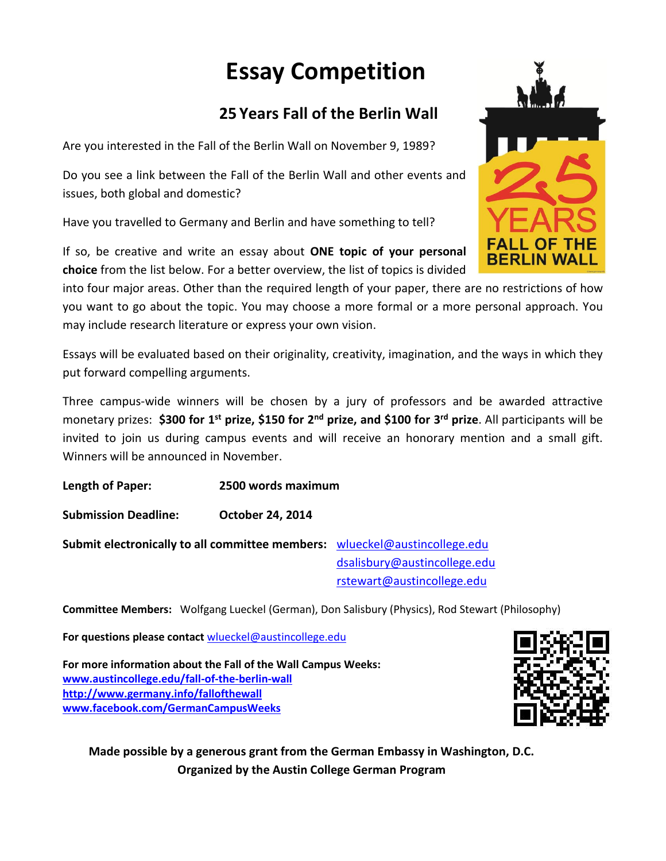# **Essay Competition**

## **25 Years Fall of the Berlin Wall**

Are you interested in the Fall of the Berlin Wall on November 9, 1989?

Do you see a link between the Fall of the Berlin Wall and other events and issues, both global and domestic?

Have you travelled to Germany and Berlin and have something to tell?

If so, be creative and write an essay about **ONE topic of your personal choice** from the list below. For a better overview, the list of topics is divided

into four major areas. Other than the required length of your paper, there are no restrictions of how you want to go about the topic. You may choose a more formal or a more personal approach. You may include research literature or express your own vision.

Essays will be evaluated based on their originality, creativity, imagination, and the ways in which they put forward compelling arguments.

Three campus-wide winners will be chosen by a jury of professors and be awarded attractive monetary prizes: **\$300 for 1st prize, \$150 for 2nd prize, and \$100 for 3rd prize**. All participants will be invited to join us during campus events and will receive an honorary mention and a small gift. Winners will be announced in November.

**Length of Paper: 2500 words maximum**

**Submission Deadline: October 24, 2014**

**Submit electronically to all committee members:** [wlueckel@austincollege.edu](mailto:wlueckel@austincollege.edu) [dsalisbury@austincollege.edu](mailto:dsalisbury@austincollege.edu) [rstewart@austincollege.edu](mailto:rstewart@austincollege.edu)

**Committee Members:** Wolfgang Lueckel (German), Don Salisbury (Physics), Rod Stewart (Philosophy)

**For questions please contact** [wlueckel@austincollege.edu](mailto:wlueckel@austincollege.edu)

**For more information about the Fall of the Wall Campus Weeks: [www.austincollege.edu/fall-of-the-berlin-wall](http://www.austincollege.edu/fall-of-the-berlin-wall) <http://www.germany.info/fallofthewall> [www.facebook.com/GermanCampusWeeks](https://owa.austincollege.edu/owa/redir.aspx?C=d535a4741e834d52a2534b3636c073c5&URL=https%3a%2f%2fwww.facebook.com%2fGermanCampusWeeks)**



**Made possible by a generous grant from the German Embassy in Washington, D.C. Organized by the Austin College German Program**

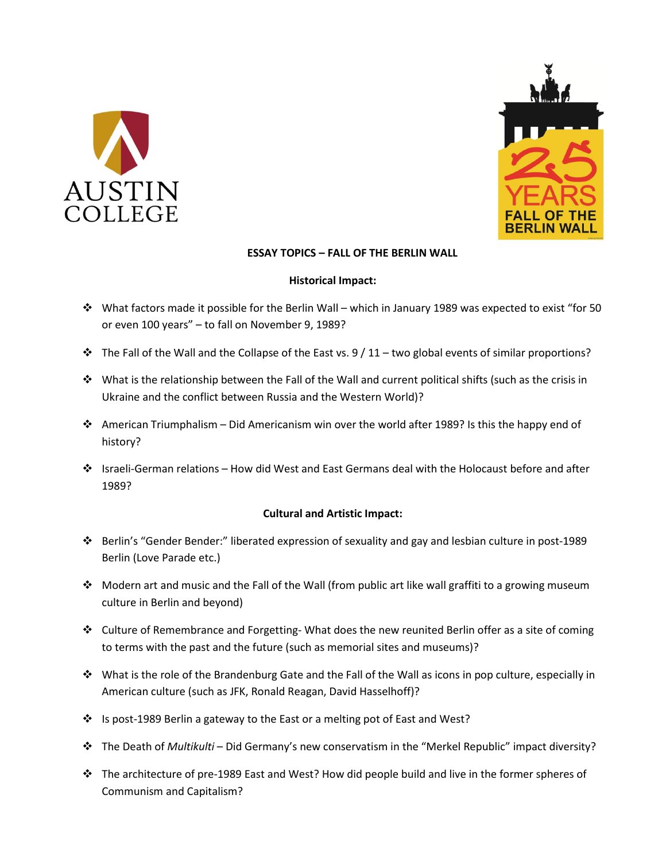



#### **ESSAY TOPICS – FALL OF THE BERLIN WALL**

#### **Historical Impact:**

- What factors made it possible for the Berlin Wall which in January 1989 was expected to exist "for 50 or even 100 years" – to fall on November 9, 1989?
- $\cdot \cdot$  The Fall of the Wall and the Collapse of the East vs. 9 / 11 two global events of similar proportions?
- What is the relationship between the Fall of the Wall and current political shifts (such as the crisis in Ukraine and the conflict between Russia and the Western World)?
- American Triumphalism Did Americanism win over the world after 1989? Is this the happy end of history?
- Israeli-German relations How did West and East Germans deal with the Holocaust before and after 1989?

### **Cultural and Artistic Impact:**

- Berlin's "Gender Bender:" liberated expression of sexuality and gay and lesbian culture in post-1989 Berlin (Love Parade etc.)
- $\cdot \cdot$  Modern art and music and the Fall of the Wall (from public art like wall graffiti to a growing museum culture in Berlin and beyond)
- $\dots$  Culture of Remembrance and Forgetting-What does the new reunited Berlin offer as a site of coming to terms with the past and the future (such as memorial sites and museums)?
- $\cdot \cdot$  What is the role of the Brandenburg Gate and the Fall of the Wall as icons in pop culture, especially in American culture (such as JFK, Ronald Reagan, David Hasselhoff)?
- ↓ Is post-1989 Berlin a gateway to the East or a melting pot of East and West?
- The Death of *Multikulti* Did Germany's new conservatism in the "Merkel Republic" impact diversity?
- $\cdot \cdot$  The architecture of pre-1989 East and West? How did people build and live in the former spheres of Communism and Capitalism?